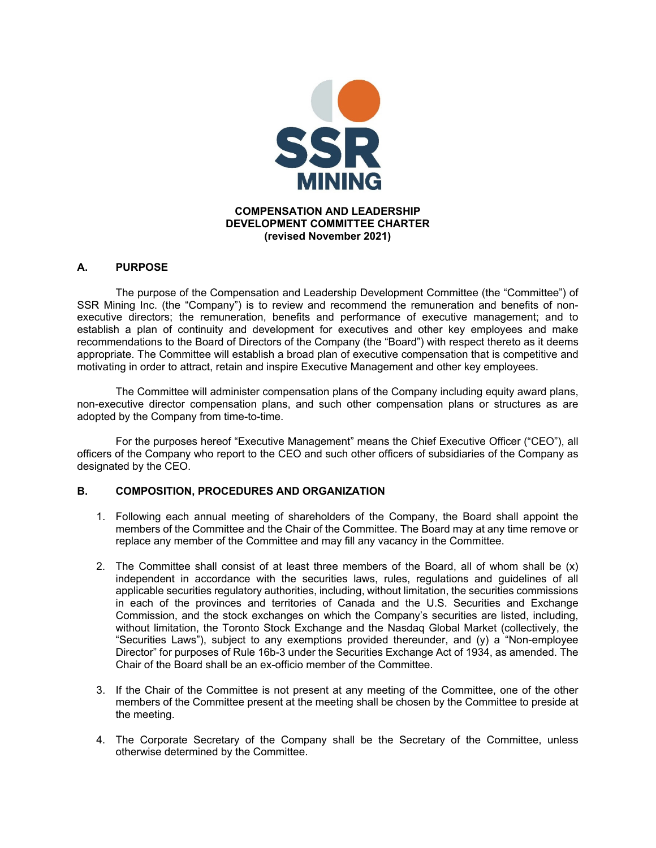

## **A. PURPOSE**

The purpose of the Compensation and Leadership Development Committee (the "Committee") of SSR Mining Inc. (the "Company") is to review and recommend the remuneration and benefits of nonexecutive directors; the remuneration, benefits and performance of executive management; and to establish a plan of continuity and development for executives and other key employees and make recommendations to the Board of Directors of the Company (the "Board") with respect thereto as it deems appropriate. The Committee will establish a broad plan of executive compensation that is competitive and motivating in order to attract, retain and inspire Executive Management and other key employees.

 The Committee will administer compensation plans of the Company including equity award plans, non-executive director compensation plans, and such other compensation plans or structures as are adopted by the Company from time-to-time.

For the purposes hereof "Executive Management" means the Chief Executive Officer ("CEO"), all officers of the Company who report to the CEO and such other officers of subsidiaries of the Company as designated by the CEO.

## **B. COMPOSITION, PROCEDURES AND ORGANIZATION**

- 1. Following each annual meeting of shareholders of the Company, the Board shall appoint the members of the Committee and the Chair of the Committee. The Board may at any time remove or replace any member of the Committee and may fill any vacancy in the Committee.
- 2. The Committee shall consist of at least three members of the Board, all of whom shall be (x) independent in accordance with the securities laws, rules, regulations and guidelines of all applicable securities regulatory authorities, including, without limitation, the securities commissions in each of the provinces and territories of Canada and the U.S. Securities and Exchange Commission, and the stock exchanges on which the Company's securities are listed, including, without limitation, the Toronto Stock Exchange and the Nasdaq Global Market (collectively, the "Securities Laws"), subject to any exemptions provided thereunder, and (y) a "Non-employee Director" for purposes of Rule 16b-3 under the Securities Exchange Act of 1934, as amended. The Chair of the Board shall be an ex-officio member of the Committee.
- 3. If the Chair of the Committee is not present at any meeting of the Committee, one of the other members of the Committee present at the meeting shall be chosen by the Committee to preside at the meeting.
- 4. The Corporate Secretary of the Company shall be the Secretary of the Committee, unless otherwise determined by the Committee.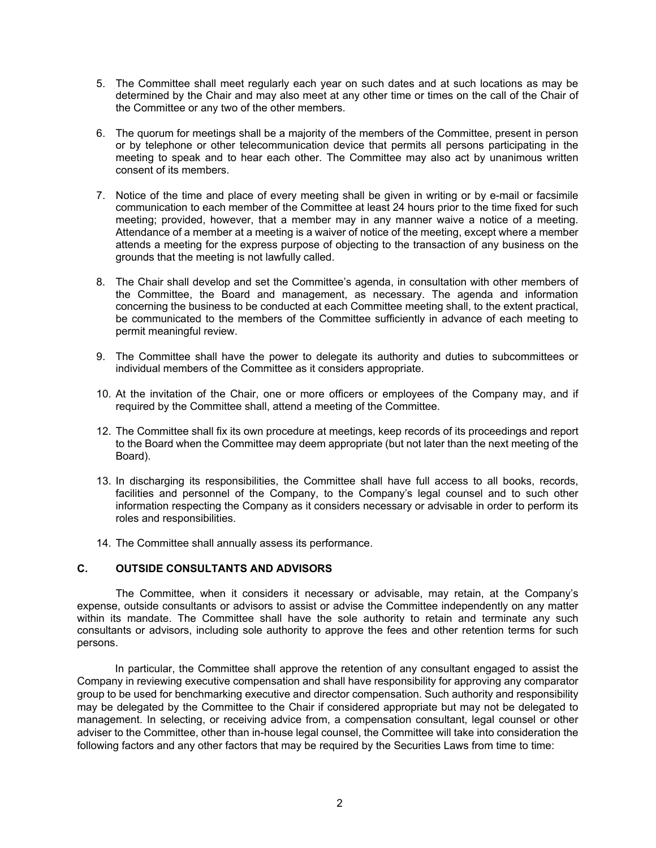- 5. The Committee shall meet regularly each year on such dates and at such locations as may be determined by the Chair and may also meet at any other time or times on the call of the Chair of the Committee or any two of the other members.
- 6. The quorum for meetings shall be a majority of the members of the Committee, present in person or by telephone or other telecommunication device that permits all persons participating in the meeting to speak and to hear each other. The Committee may also act by unanimous written consent of its members.
- 7. Notice of the time and place of every meeting shall be given in writing or by e-mail or facsimile communication to each member of the Committee at least 24 hours prior to the time fixed for such meeting; provided, however, that a member may in any manner waive a notice of a meeting. Attendance of a member at a meeting is a waiver of notice of the meeting, except where a member attends a meeting for the express purpose of objecting to the transaction of any business on the grounds that the meeting is not lawfully called.
- 8. The Chair shall develop and set the Committee's agenda, in consultation with other members of the Committee, the Board and management, as necessary. The agenda and information concerning the business to be conducted at each Committee meeting shall, to the extent practical, be communicated to the members of the Committee sufficiently in advance of each meeting to permit meaningful review.
- 9. The Committee shall have the power to delegate its authority and duties to subcommittees or individual members of the Committee as it considers appropriate.
- 10. At the invitation of the Chair, one or more officers or employees of the Company may, and if required by the Committee shall, attend a meeting of the Committee.
- 12. The Committee shall fix its own procedure at meetings, keep records of its proceedings and report to the Board when the Committee may deem appropriate (but not later than the next meeting of the Board).
- 13. In discharging its responsibilities, the Committee shall have full access to all books, records, facilities and personnel of the Company, to the Company's legal counsel and to such other information respecting the Company as it considers necessary or advisable in order to perform its roles and responsibilities.
- 14. The Committee shall annually assess its performance.

## **C. OUTSIDE CONSULTANTS AND ADVISORS**

The Committee, when it considers it necessary or advisable, may retain, at the Company's expense, outside consultants or advisors to assist or advise the Committee independently on any matter within its mandate. The Committee shall have the sole authority to retain and terminate any such consultants or advisors, including sole authority to approve the fees and other retention terms for such persons.

In particular, the Committee shall approve the retention of any consultant engaged to assist the Company in reviewing executive compensation and shall have responsibility for approving any comparator group to be used for benchmarking executive and director compensation. Such authority and responsibility may be delegated by the Committee to the Chair if considered appropriate but may not be delegated to management. In selecting, or receiving advice from, a compensation consultant, legal counsel or other adviser to the Committee, other than in-house legal counsel, the Committee will take into consideration the following factors and any other factors that may be required by the Securities Laws from time to time: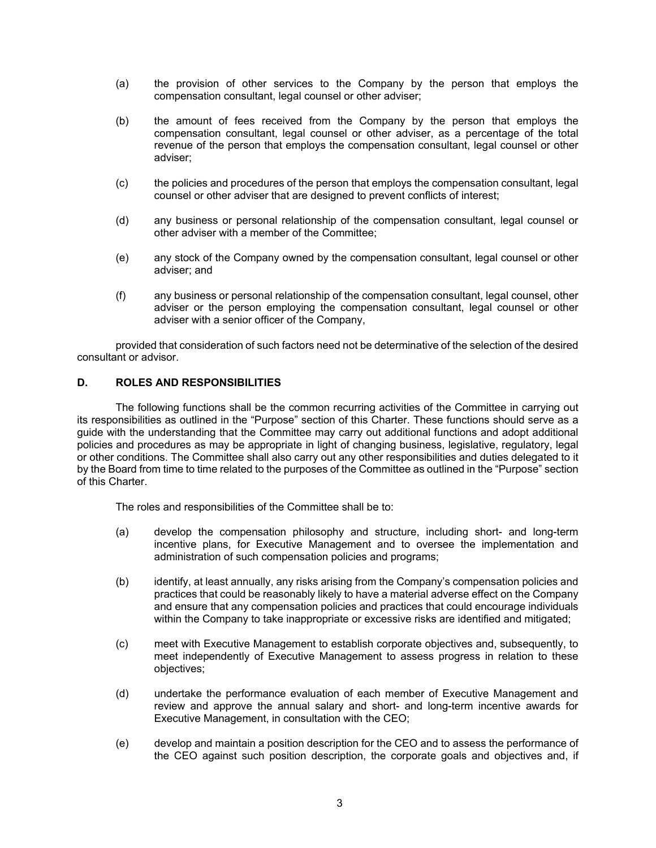- (a) the provision of other services to the Company by the person that employs the compensation consultant, legal counsel or other adviser;
- (b) the amount of fees received from the Company by the person that employs the compensation consultant, legal counsel or other adviser, as a percentage of the total revenue of the person that employs the compensation consultant, legal counsel or other adviser;
- (c) the policies and procedures of the person that employs the compensation consultant, legal counsel or other adviser that are designed to prevent conflicts of interest;
- (d) any business or personal relationship of the compensation consultant, legal counsel or other adviser with a member of the Committee;
- (e) any stock of the Company owned by the compensation consultant, legal counsel or other adviser; and
- (f) any business or personal relationship of the compensation consultant, legal counsel, other adviser or the person employing the compensation consultant, legal counsel or other adviser with a senior officer of the Company,

provided that consideration of such factors need not be determinative of the selection of the desired consultant or advisor.

## **D. ROLES AND RESPONSIBILITIES**

The following functions shall be the common recurring activities of the Committee in carrying out its responsibilities as outlined in the "Purpose" section of this Charter. These functions should serve as a guide with the understanding that the Committee may carry out additional functions and adopt additional policies and procedures as may be appropriate in light of changing business, legislative, regulatory, legal or other conditions. The Committee shall also carry out any other responsibilities and duties delegated to it by the Board from time to time related to the purposes of the Committee as outlined in the "Purpose" section of this Charter.

The roles and responsibilities of the Committee shall be to:

- (a) develop the compensation philosophy and structure, including short- and long-term incentive plans, for Executive Management and to oversee the implementation and administration of such compensation policies and programs;
- (b) identify, at least annually, any risks arising from the Company's compensation policies and practices that could be reasonably likely to have a material adverse effect on the Company and ensure that any compensation policies and practices that could encourage individuals within the Company to take inappropriate or excessive risks are identified and mitigated;
- (c) meet with Executive Management to establish corporate objectives and, subsequently, to meet independently of Executive Management to assess progress in relation to these objectives;
- (d) undertake the performance evaluation of each member of Executive Management and review and approve the annual salary and short- and long-term incentive awards for Executive Management, in consultation with the CEO;
- (e) develop and maintain a position description for the CEO and to assess the performance of the CEO against such position description, the corporate goals and objectives and, if